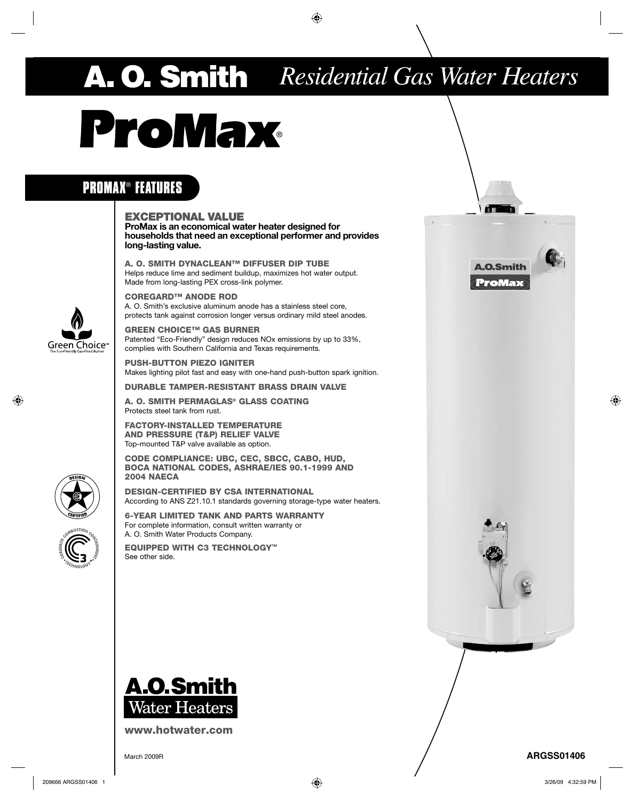## *Residential Gas Water Heaters*

# **ProMax**

### **PROMAX**® **FEATURES**

#### **EXCEPTIONAL VALUE**

**ProMax is an economical water heater designed for households that need an exceptional performer and provides long-lasting value.**

**A. O. SMITH DYNACLEAN™ DIFFUSER DIP TUBE** Helps reduce lime and sediment buildup, maximizes hot water output. Made from long-lasting PEX cross-link polymer.

**COREGARD™ ANODE ROD** A. O. Smith's exclusive aluminum anode has a stainless steel core, protects tank against corrosion longer versus ordinary mild steel anodes.

**GREEN CHOICE™ GAS BURNER**  Patented "Eco-Friendly" design reduces NOx emissions by up to 33%, complies with Southern California and Texas requirements.

**PUSH-BUTTON PIEZO IGNITER** Makes lighting pilot fast and easy with one-hand push-button spark ignition.

**DURABLE TAMPER-RESISTANT BRASS DRAIN VALVE**

**A. O. SMITH PERMAGLAS® GLASS COATING** Protects steel tank from rust.

**FACTORY-INSTALLED TEMPERATURE AND PRESSURE (T&P) RELIEF VALVE** Top-mounted T&P valve available as option.

**CODE COMPLIANCE: UBC, CEC, SBCC, CABO, HUD, BOCA NATIONAL CODES, ASHRAE/IES 90.1-1999 AND 2004 NAECA**

**DESIGN-CERTIFIED BY CSA INTERNATIONAL** According to ANS Z21.10.1 standards governing storage-type water heaters.

**6-YEAR LIMITED TANK AND PARTS WARRANTY** For complete information, consult written warranty or A. O. Smith Water Products Company.

**EQUIPPED WITH C3 TECHNOLOGY**™ See other side.



**www.hotwater.com**



**ProMax** 

**A.O.Smith** 

m